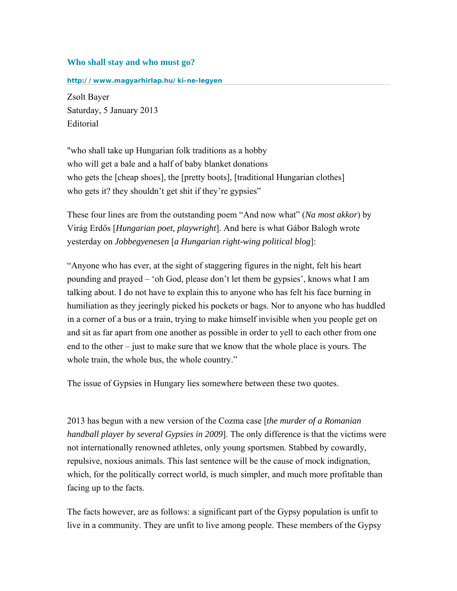## **Who shall stay and who must go?**

**<http://www.magyarhirlap.hu/ki-ne-legyen>**

Zsolt [Bayer](http://www.magyarhirlap.hu/bayer-zsolt)  Saturday, 5 January 2013 Editorial

"who shall take up Hungarian folk traditions as a hobby who will get a bale and a half of baby blanket donations who gets the [cheap shoes], the [pretty boots], [traditional Hungarian clothes] who gets it? they shouldn't get shit if they're gypsies"

These four lines are from the outstanding poem "And now what" (*Na most akkor*) by Virág Erdős [*Hungarian poet, playwright*]. And here is what Gábor Balogh wrote yesterday on *Jobbegyenesen* [*a Hungarian right-wing political blog*]:

"Anyone who has ever, at the sight of staggering figures in the night, felt his heart pounding and prayed – 'oh God, please don't let them be gypsies', knows what I am talking about. I do not have to explain this to anyone who has felt his face burning in humiliation as they jeeringly picked his pockets or bags. Nor to anyone who has huddled in a corner of a bus or a train, trying to make himself invisible when you people get on and sit as far apart from one another as possible in order to yell to each other from one end to the other – just to make sure that we know that the whole place is yours. The whole train, the whole bus, the whole country."

The issue of Gypsies in Hungary lies somewhere between these two quotes.

2013 has begun with a new version of the Cozma case [*the murder of a Romanian handball player by several Gypsies in 2009*]. The only difference is that the victims were not internationally renowned athletes, only young sportsmen. Stabbed by cowardly, repulsive, noxious animals. This last sentence will be the cause of mock indignation, which, for the politically correct world, is much simpler, and much more profitable than facing up to the facts.

The facts however, are as follows: a significant part of the Gypsy population is unfit to live in a community. They are unfit to live among people. These members of the Gypsy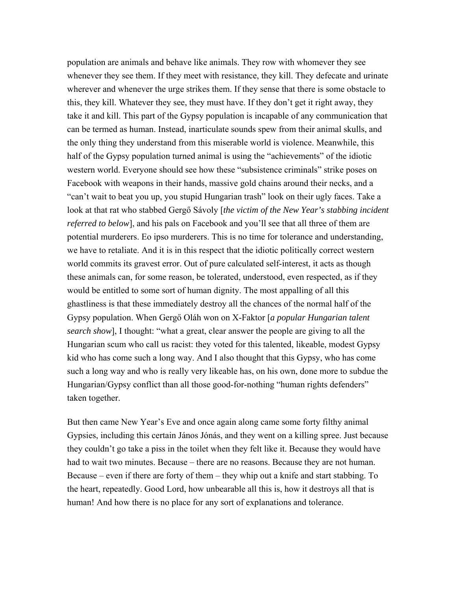population are animals and behave like animals. They row with whomever they see whenever they see them. If they meet with resistance, they kill. They defecate and urinate wherever and whenever the urge strikes them. If they sense that there is some obstacle to this, they kill. Whatever they see, they must have. If they don't get it right away, they take it and kill. This part of the Gypsy population is incapable of any communication that can be termed as human. Instead, inarticulate sounds spew from their animal skulls, and the only thing they understand from this miserable world is violence. Meanwhile, this half of the Gypsy population turned animal is using the "achievements" of the idiotic western world. Everyone should see how these "subsistence criminals" strike poses on Facebook with weapons in their hands, massive gold chains around their necks, and a "can't wait to beat you up, you stupid Hungarian trash" look on their ugly faces. Take a look at that rat who stabbed Gergő Sávoly [*the victim of the New Year's stabbing incident referred to below*], and his pals on Facebook and you'll see that all three of them are potential murderers. Eo ipso murderers. This is no time for tolerance and understanding, we have to retaliate. And it is in this respect that the idiotic politically correct western world commits its gravest error. Out of pure calculated self-interest, it acts as though these animals can, for some reason, be tolerated, understood, even respected, as if they would be entitled to some sort of human dignity. The most appalling of all this ghastliness is that these immediately destroy all the chances of the normal half of the Gypsy population. When Gergő Oláh won on X-Faktor [*a popular Hungarian talent search show*], I thought: "what a great, clear answer the people are giving to all the Hungarian scum who call us racist: they voted for this talented, likeable, modest Gypsy kid who has come such a long way. And I also thought that this Gypsy, who has come such a long way and who is really very likeable has, on his own, done more to subdue the Hungarian/Gypsy conflict than all those good-for-nothing "human rights defenders" taken together.

But then came New Year's Eve and once again along came some forty filthy animal Gypsies, including this certain János Jónás, and they went on a killing spree. Just because they couldn't go take a piss in the toilet when they felt like it. Because they would have had to wait two minutes. Because – there are no reasons. Because they are not human. Because – even if there are forty of them – they whip out a knife and start stabbing. To the heart, repeatedly. Good Lord, how unbearable all this is, how it destroys all that is human! And how there is no place for any sort of explanations and tolerance.